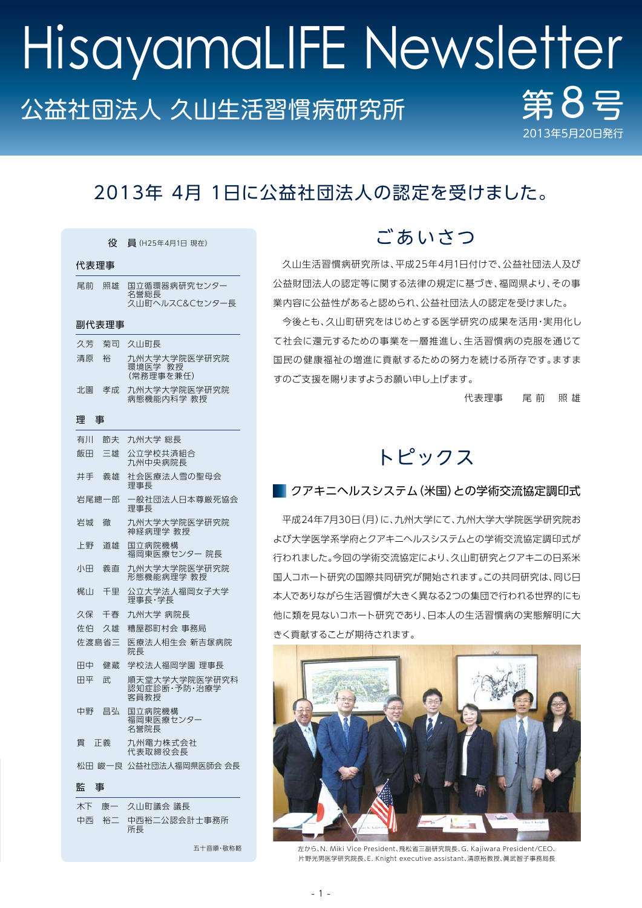# 公益社団法人 久山生活習慣病研究所 第85 2013年5月20日 HisayamaLIFE Newsletter

# 2013年 4月 1日に公益社団法人の認定を受けました。

|        | 役  | 員 (H25年4月1日 現在)                        |  |  |
|--------|----|----------------------------------------|--|--|
| 代表理事   |    |                                        |  |  |
| 尾前     | 照雄 | 国立循環器病研究センタ-<br>名誉総長<br>久山町ヘルスC&Cセンター長 |  |  |
| 副代表理事  |    |                                        |  |  |
| 久芳     | 菊司 | 久山町長                                   |  |  |
| 清原     | 裕  | 九州大学大学院医学研究院<br>環境医学 教授<br>(常務理事を兼任)   |  |  |
| 北園     | 孝成 | 九州大学大学院医学研究院<br>病熊機能内科学 教授             |  |  |
| 理<br>事 |    |                                        |  |  |
| 有川     | 節夫 | 九州大学 総長                                |  |  |
| 飯田     | 三雄 | 公立学校共済組合<br>九州中央病院長                    |  |  |
| 井手     | 義雄 | 社会医療法人雪の聖母会<br>理事長                     |  |  |
| 岩尾總一郎  |    | 一般社団法人日本尊厳死協会<br>理事長                   |  |  |
| 岩城     | 徹  | 九州大学大学院医学研究院<br>神経病理学 教授               |  |  |
| 上野     | 道雄 | 国立病院機構<br>福岡東医療センター 院長                 |  |  |
| 小田     | 義直 | 九州大学大学院医学研究院<br>形態機能病理学 教授             |  |  |
| 梶山     | 千里 | 公立大学法人福岡女子大学<br>理事長・学長                 |  |  |
| 久保     | 千春 | 九州大学 病院長                               |  |  |
| 佐伯     | 久雄 | 糟屋郡町村会 事務局                             |  |  |
| 佐渡島省三  |    | 医療法人相生会 新吉塚病院<br>院長                    |  |  |
| 田中     | 健蔵 | 学校法人福岡学園 理事長                           |  |  |
| 田平     | 武  | 順天堂大学大学院医学研究科<br>認知症診断・予防・治療学<br>客員教授  |  |  |
| 中野     | 昌弘 | 国立病院機構<br>福岡東医療センタ-<br>名誉院長            |  |  |
| 冒      | 正義 | 九州電力株式会社<br>代表取締役会長                    |  |  |
|        |    | 松田 峻一良 公益社団法人福岡県医師会 会長                 |  |  |
| 監<br>事 |    |                                        |  |  |
| 木下     |    | 康一 久山町議会 議長                            |  |  |

|  | 小下の 尿一の 久田町譲去 譲反         |
|--|--------------------------|
|  | 中两 裕二 中两裕二公認会計士事務所<br>所長 |

五十音順・敬称略

# ご あ いさつ

久山生活習慣病研究所は、平成25年4月1日付けで、公益社団法人及び 公益財団法人の認定等に関する法律の規定に基づき、福岡県より、その事 業内容に公益性があると認められ、公益社団法人の認定を受けました。

今後とも、久山町研究をはじめとする医学研究の成果を活用・実用化し て社会に還元するための事業を一層推進し、生活習慣病の克服を通じて 国民の健康福祉の増進に貢献するための努力を続ける所存です。ますま すのご支援を賜りますようお願い申し上げます。

代表理事 尾 前 照 雄

# トピックス

#### ■ クアキニヘルスシステム(米国)との学術交流協定調印式

平成24年7月30日(月)に、九州大学にて、九州大学大学院医学研究院お よび大学医学系学府とクアキニヘルスシステムとの学術交流協定調印式が 行われました。今回の学術交流協定により、久山町研究とクアキニの日系米 国人コホート研究の国際共同研究が開始されます。この共同研究は、同じ日 本人でありながら生活習慣が大きく異なる2つの集団で行われる世界的にも 他に類を見ないコホート研究であり、日本人の生活習慣病の実態解明に大 きく貢献することが期待されます。



左から、N. Miki Vice President、飛松省三副研究院長、G. Kajiwara President/CEO、 片野光男医学研究院長、E. Knight executive assistant、清原裕教授、眞武智子事務局長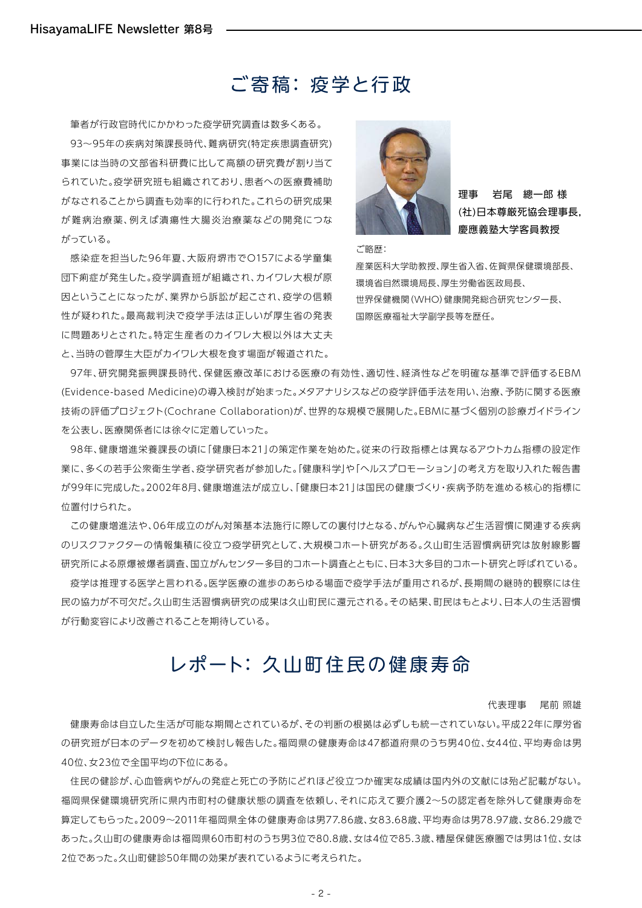## ご寄稿: 疫学と行政

筆者が行政官時代にかかわった疫学研究調査は数多くある。 93~95年の疾病対策課長時代、難病研究(特定疾患調査研究) 事業には当時の文部省科研費に比して高額の研究費が割り当て られていた。疫学研究班も組織されており、患者への医療費補助 がなされることから調査も効率的に行われた。これらの研究成果 が難病治療薬、例えば潰瘍性大腸炎治療薬などの開発につな がっている。

感染症を担当した96年夏、大阪府堺市でO157による学童集 団下痢症が発生した。疫学調査班が組織され、カイワレ大根が原 因ということになったが、業界から訴訟が起こされ、疫学の信頼 性が疑われた。最高裁判決で疫学手法は正しいが厚生省の発表 に問題ありとされた。特定生産者のカイワレ大根以外は大丈夫 と、当時の菅厚生大臣がカイワレ大根を食す場面が報道された。



ご略歴:

理事 岩尾 總一郎 様 (社)日本尊厳死協会理事長, 慶應義塾大学客員教授

産業医科大学助教授、厚生省入省、佐賀県保健環境部長、 環境省自然環境局長、厚生労働省医政局長、 世界保健機関(WHO)健康開発総合研究センター長、 国際医療福祉大学副学長等を歴任。

97年、研究開発振興課長時代、保健医療改革における医療の有効性、適切性、経済性などを明確な基準で評価するEBM (Evidence-based Medicine)の導入検討が始まった。メタアナリシスなどの疫学評価手法を用い、治療、予防に関する医療 技術の評価プロジェクト(Cochrane Collaboration)が、世界的な規模で展開した。EBMに基づく個別の診療ガイドライン を公表し、医療関係者には徐々に定着していった。

98年、健康増進栄養課長の頃に「健康日本21」の策定作業を始めた。従来の行政指標とは異なるアウトカム指標の設定作 業に、多くの若手公衆衛生学者、疫学研究者が参加した。「健康科学」や「ヘルスプロモーション」の考え方を取り入れた報告書 が99年に完成した。2002年8月、健康増進法が成立し、「健康日本21」は国民の健康づくり・疾病予防を進める核心的指標に 位置付けられた。

この健康増進法や、06年成立のがん対策基本法施行に際しての裏付けとなる、がんや心臓病など生活習慣に関連する疾病 のリスクファクターの情報集積に役立つ疫学研究として、大規模コホート研究がある。久山町生活習慣病研究は放射線影響 研究所による原爆被爆者調査、国立がんセンター多目的コホート調査とともに、日本3大多目的コホート研究と呼ばれている。

疫学は推理する医学と言われる。医学医療の進歩のあらゆる場面で疫学手法が重用されるが、長期間の継時的観察には住 民の協力が不可欠だ。久山町生活習慣病研究の成果は久山町民に還元される。その結果、町民はもとより、日本人の生活習慣 が行動変容により改善されることを期待している。

# レポート: 久山町住民の健康寿命

代表理事 尾前 照雄

健康寿命は自立した生活が可能な期間とされているが、その判断の根拠は必ずしも統一されていない。平成22年に厚労省 の研究班が日本のデータを初めて検討し報告した。福岡県の健康寿命は47都道府県のうち男40位、女44位、平均寿命は男 40位、女23位で全国平均の下位にある。

住民の健診が、心血管病やがんの発症と死亡の予防にどれほど役立つか確実な成績は国内外の文献には殆ど記載がない。 福岡県保健環境研究所に県内市町村の健康状態の調査を依頼し、それに応えて要介護2~5の認定者を除外して健康寿命を 算定してもらった。2009~2011年福岡県全体の健康寿命は男77.86歳、女83.68歳、平均寿命は男78.97歳、女86.29歳で あった。久山町の健康寿命は福岡県60市町村のうち男3位で80.8歳、女は4位で85.3歳、糟屋保健医療圏では男は1位、女は 2位であった。久山町健診50年間の効果が表れているように考えられた。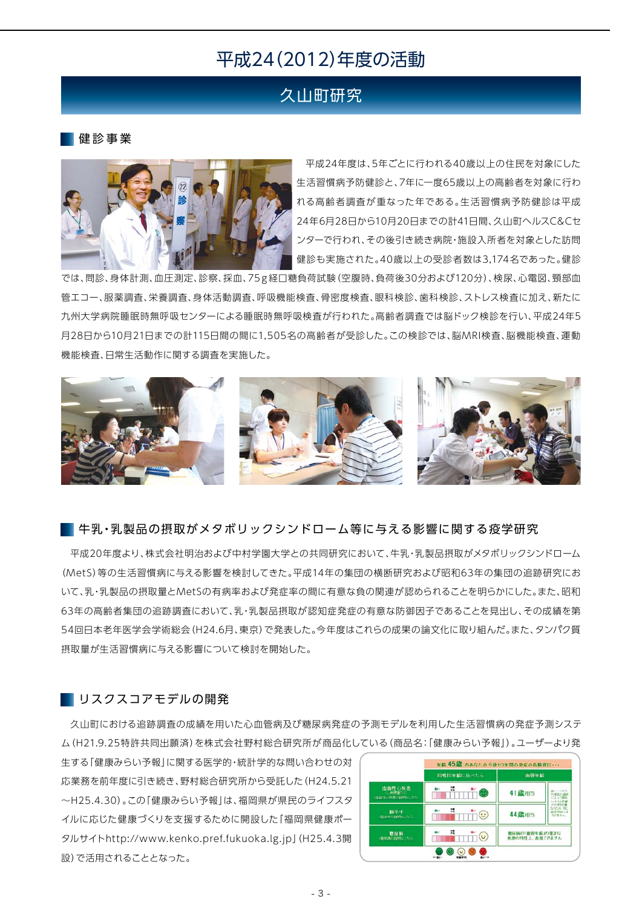### 平成24(2012)年度の活動

### 久山町研究

健 診 事 業



平成24年度は、5年ごとに行われる40歳以上の住民を対象にした 生活習慣病予防健診と、7年に一度65歳以上の高齢者を対象に行わ れる高齢者調査が重なった年である。生活習慣病予防健診は平成 24年6月28日から10月20日までの計41日間、久山町ヘルスC&Cセ ンターで行われ、その後引き続き病院・施設入所者を対象とした訪問 健診も実施された。40歳以上の受診者数は3,174名であった。健診

では、問診、身体計測、血圧測定、診察、採血、75g経口糖負荷試験(空腹時、負荷後30分および120分)、検尿、心電図、頸部血 管エコー、服薬調査、栄養調査、身体活動調査、呼吸機能検査、骨密度検査、眼科検診、歯科検診、ストレス検査に加え、新たに 九州大学病院睡眠時無呼吸センターによる睡眠時無呼吸検査が行われた。高齢者調査では脳ドック検診を行い、平成24年5 月28日から10月21日までの計115日間の間に1,505名の高齢者が受診した。この検診では、脳MRI検査、脳機能検査、運動 機能検査、日常生活動作に関する調査を実施した。



#### ■■牛乳・乳製品の摂取がメタボリックシンドローム等に与える影響に関する疫学研究

平成20年度より、株式会社明治および中村学園大学との共同研究において、牛乳・乳製品摂取がメタボリックシンドローム (MetS)等の生活習慣病に与える影響を検討してきた。平成14年の集団の横断研究および昭和63年の集団の追跡研究にお いて、乳・乳製品の摂取量とMetSの有病率および発症率の間に有意な負の関連が認められることを明らかにした。また、昭和 63年の高齢者集団の追跡調査において、乳・乳製品摂取が認知症発症の有意な防御因子であることを見出し、その成績を第 54回日本老年医学会学術総会(H24.6月、東京)で発表した。今年度はこれらの成果の論文化に取り組んだ。また、タンパク質 摂取量が生活習慣病に与える影響について検討を開始した。

#### ■ リスクスコアモデルの開発

久山町における追跡調査の成績を用いた心血管病及び糖尿病発症の予測モデルを利用した生活習慣病の発症予測システ ム(H21.9.25特許共同出願済)を株式会社野村総合研究所が商品化している(商品名:「健康みらい予報」)。ユーザーより発

生する「健康みらい予報」に関する医学的・統計学的な問い合わせの対 応業務を前年度に引き続き、野村総合研究所から受託した(H24.5.21 ~H25.4.30)。この「健康みらい予報」は、福岡県が県民のライフスタ イルに応じた健康づくりを支援するために開設した「福岡県健康ポー タルサイトhttp://www.kenko.pref.fukuoka.lg.jp」(H25.4.3開 設)で活用されることとなった。

|                                     | 同性同年齢に比べたら                 | 血管年齢                             |  |
|-------------------------------------|----------------------------|----------------------------------|--|
| 虚血性心疾患<br>和律書など)<br>(連血性心理患の説明)にちら) | u<br>20.5<br>m<br>55       | 41歳相当<br>精士一氏の                   |  |
| 精液中<br>(脳ネ中の説明にこちら)                 | 骠<br>黒い<br>$\ddot{\omega}$ | 受傷器のコス<br>44歳相当<br>なりません。        |  |
| 糖尿病<br>(種間調の説明にこちら)                 | 蒜<br>$\omega$              | 糖尿病の「血管年齢」の推計は<br>疾患の特性上、表現できません |  |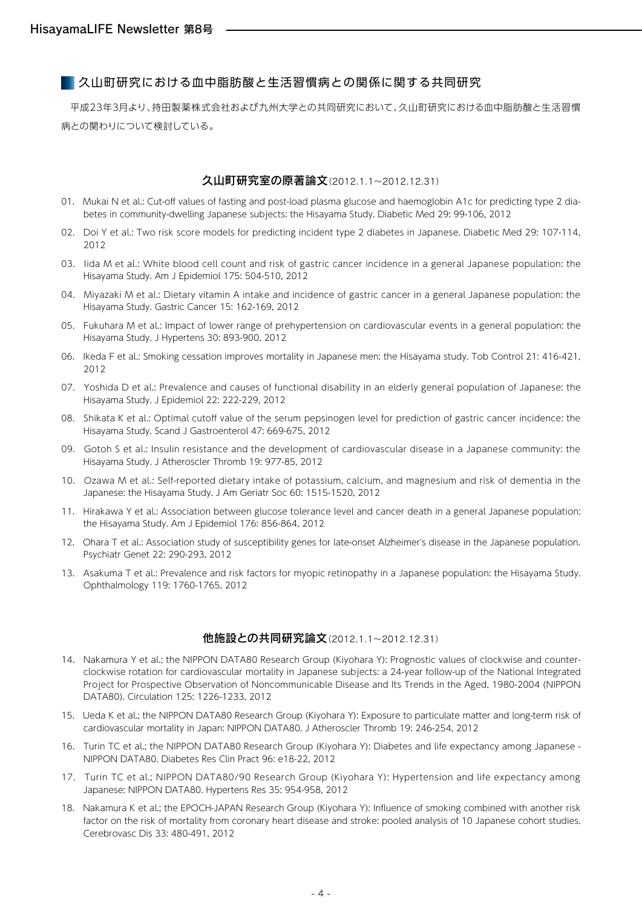久山町研究における血中脂肪酸と生活習慣病との関係に関する共同研究

平成23年3月より、持田製薬株式会社および九州大学との共同研究において、久山町研究における血中脂肪酸と生活習慣 病との関わりについて検討している。

#### 久山町研究室の原著論文(2012.1.1~2012.12.31)

- 01. Mukai N et al.: Cut-off values of fasting and post-load plasma glucose and haemoglobin A1c for predicting type 2 diabetes in community-dwelling Japanese subjects: the Hisayama Study. Diabetic Med 29: 99-106, 2012
- 02. Doi Y et al.: Two risk score models for predicting incident type 2 diabetes in Japanese. Diabetic Med 29: 107-114, 2012
- 03. Iida M et al.: White blood cell count and risk of gastric cancer incidence in a general Japanese population: the Hisayama Study. Am J Epidemiol 175: 504-510, 2012
- 04. Miyazaki M et al.: Dietary vitamin A intake and incidence of gastric cancer in a general Japanese population: the Hisayama Study. Gastric Cancer 15: 162-169, 2012
- 05. Fukuhara M et al.: Impact of lower range of prehypertension on cardiovascular events in a general population: the Hisayama Study. J Hypertens 30: 893-900, 2012
- 06. Ikeda F et al.: Smoking cessation improves mortality in Japanese men: the Hisayama study. Tob Control 21: 416-421, 2012
- 07. Yoshida D et al.: Prevalence and causes of functional disability in an elderly general population of Japanese: the Hisayama Study. J Epidemiol 22: 222-229, 2012
- 08. Shikata K et al.: Optimal cutoff value of the serum pepsinogen level for prediction of gastric cancer incidence: the Hisayama Study. Scand J Gastroenterol 47: 669-675, 2012
- 09. Gotoh S et al.: Insulin resistance and the development of cardiovascular disease in a Japanese community: the Hisayama Study. J Atheroscler Thromb 19: 977-85, 2012
- 10. Ozawa M et al.: Self-reported dietary intake of potassium, calcium, and magnesium and risk of dementia in the Japanese: the Hisayama Study. J Am Geriatr Soc 60: 1515-1520, 2012
- 11. Hirakawa Y et al.: Association between glucose tolerance level and cancer death in a general Japanese population: the Hisayama Study. Am J Epidemiol 176: 856-864, 2012
- 12. Ohara T et al.: Association study of susceptibility genes for late-onset Alzheimer's disease in the Japanese population. Psychiatr Genet 22: 290-293, 2012
- 13. Asakuma T et al.: Prevalence and risk factors for myopic retinopathy in a Japanese population: the Hisayama Study. Ophthalmology 119: 1760-1765, 2012

#### 他施設との共同研究論文(2012.1.1~2012.12.31)

- 14. Nakamura Y et al.; the NIPPON DATA80 Research Group (Kiyohara Y): Prognostic values of clockwise and counterclockwise rotation for cardiovascular mortality in Japanese subjects: a 24-year follow-up of the National Integrated Project for Prospective Observation of Noncommunicable Disease and Its Trends in the Aged, 1980-2004 (NIPPON DATA80). Circulation 125: 1226-1233, 2012
- 15. Ueda K et al.; the NIPPON DATA80 Research Group (Kiyohara Y): Exposure to particulate matter and long-term risk of cardiovascular mortality in Japan: NIPPON DATA80. J Atheroscler Thromb 19: 246-254, 2012
- 16. Turin TC et al.; the NIPPON DATA80 Research Group (Kiyohara Y): Diabetes and life expectancy among Japanese NIPPON DATA80. Diabetes Res Clin Pract 96: e18-22, 2012
- 17. Turin TC et al.; NIPPON DATA80/90 Research Group (Kiyohara Y): Hypertension and life expectancy among Japanese: NIPPON DATA80. Hypertens Res 35: 954-958, 2012
- 18. Nakamura K et al.; the EPOCH-JAPAN Research Group (Kiyohara Y): Influence of smoking combined with another risk factor on the risk of mortality from coronary heart disease and stroke: pooled analysis of 10 Japanese cohort studies. Cerebrovasc Dis 33: 480-491, 2012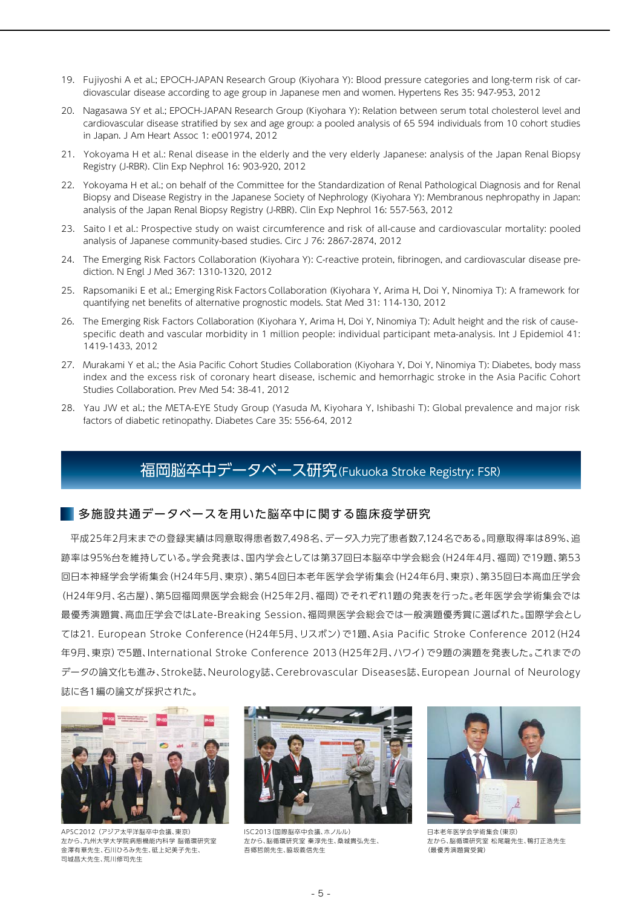- 19. Fujiyoshi A et al.; EPOCH-JAPAN Research Group (Kiyohara Y): Blood pressure categories and long-term risk of cardiovascular disease according to age group in Japanese men and women. Hypertens Res 35: 947-953, 2012
- 20. Nagasawa SY et al.; EPOCH-JAPAN Research Group (Kiyohara Y): Relation between serum total cholesterol level and cardiovascular disease stratified by sex and age group: a pooled analysis of 65 594 individuals from 10 cohort studies in Japan. J Am Heart Assoc 1: e001974, 2012
- 21. Yokoyama H et al.: Renal disease in the elderly and the very elderly Japanese: analysis of the Japan Renal Biopsy Registry (J-RBR). Clin Exp Nephrol 16: 903-920, 2012
- 22. Yokoyama H et al.; on behalf of the Committee for the Standardization of Renal Pathological Diagnosis and for Renal Biopsy and Disease Registry in the Japanese Society of Nephrology (Kiyohara Y): Membranous nephropathy in Japan: analysis of the Japan Renal Biopsy Registry (J-RBR). Clin Exp Nephrol 16: 557-563, 2012
- 23. Saito I et al.: Prospective study on waist circumference and risk of all-cause and cardiovascular mortality: pooled analysis of Japanese community-based studies. Circ J 76: 2867-2874, 2012
- 24. The Emerging Risk Factors Collaboration (Kiyohara Y): C-reactive protein, fibrinogen, and cardiovascular disease prediction. N Engl J Med 367: 1310-1320, 2012
- 25. Rapsomaniki E et al.; Emerging Risk Factors Collaboration (Kiyohara Y, Arima H, Doi Y, Ninomiya T): A framework for quantifying net benefits of alternative prognostic models. Stat Med 31: 114-130, 2012
- 26. The Emerging Risk Factors Collaboration (Kiyohara Y, Arima H, Doi Y, Ninomiya T): Adult height and the risk of causespecific death and vascular morbidity in 1 million people: individual participant meta-analysis. Int J Epidemiol 41: 1419-1433, 2012
- 27. Murakami Y et al.; the Asia Pacific Cohort Studies Collaboration (Kiyohara Y, Doi Y, Ninomiya T): Diabetes, body mass index and the excess risk of coronary heart disease, ischemic and hemorrhagic stroke in the Asia Pacific Cohort Studies Collaboration. Prev Med 54: 38-41, 2012
- 28. Yau JW et al.; the META-EYE Study Group (Yasuda M, Kiyohara Y, Ishibashi T): Global prevalence and major risk factors of diabetic retinopathy. Diabetes Care 35: 556-64, 2012

### 福岡脳卒中データベース研究(Fukuoka Stroke Registry: FSR)

#### ■多施設共通データベースを用いた脳卒中に関する臨床疫学研究

平成25年2月末までの登録実績は同意取得患者数7,498名、データ入力完了患者数7,124名である。同意取得率は89%、追 跡率は95%台を維持している。学会発表は、国内学会としては第37回日本脳卒中学会総会(H24年4月、福岡)で19題、第53 回日本神経学会学術集会(H24年5月、東京)、第54回日本老年医学会学術集会(H24年6月、東京)、第35回日本高血圧学会 (H24年9月、名古屋)、第5回福岡県医学会総会(H25年2月、福岡)でそれぞれ1題の発表を行った。老年医学会学術集会では 最優秀演題賞、高血圧学会ではLate-Breaking Session、福岡県医学会総会では一般演題優秀賞に選ばれた。国際学会とし ては21. European Stroke Conference(H24年5月、リスボン)で1題、Asia Pacific Stroke Conference 2012(H24 年9月、東京)で5題、International Stroke Conference 2013(H25年2月、ハワイ)で9題の演題を発表した。これまでの データの論文化も進み、Stroke誌、Neurology誌、Cerebrovascular Diseases誌、European Journal of Neurology 誌に各1編の論文が採択された。



APSC2012 (アジア太平洋脳卒中会議、東京) 左から、九州大学大学院病態機能内科学 脳循環研究室 金澤有華先生、石川ひろみ先生、砥上妃美子先生、 司城昌大先生、荒川修司先生



ISC2013(国際脳卒中会議、ホノルル) 左から、脳循環研究室 秦淳先生、桑城貴弘先生、 吾郷哲朗先生、脇坂義信先生



日本老年医学会学術集会(東京) 左から、脳循環研究室 松尾龍先生、鴨打正浩先生 (最優秀演題賞受賞)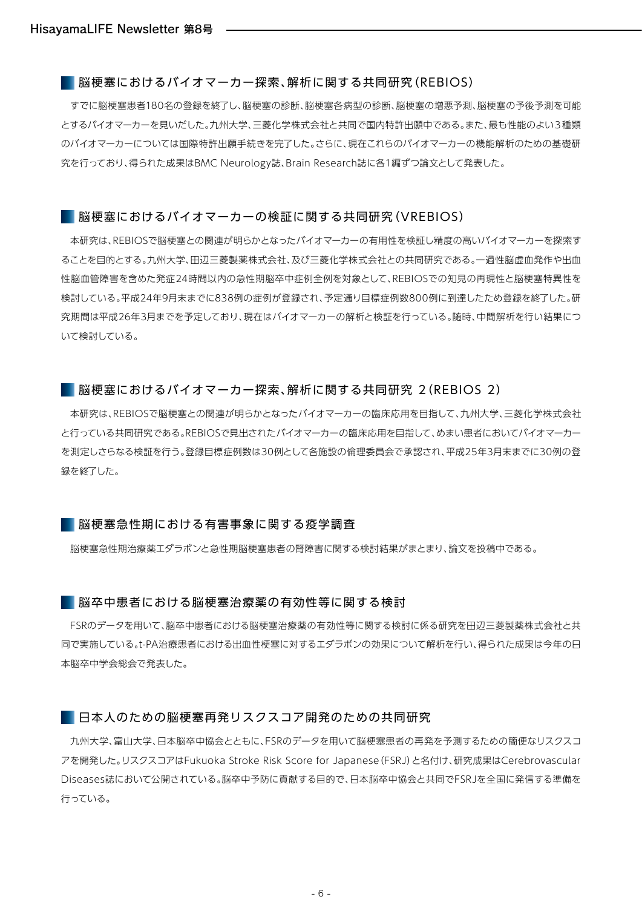#### ■ 脳梗塞におけるバイオマーカー探索、解析に関する共同研究 (REBIOS)

すでに脳梗塞患者180名の登録を終了し、脳梗塞の診断、脳梗塞各病型の診断、脳梗塞の増悪予測、脳梗塞の予後予測を可能 とするバイオマーカーを見いだした。九州大学、三菱化学株式会社と共同で国内特許出願中である。また、最も性能のよい3種類 のバイオマーカーについては国際特許出願手続きを完了した。さらに、現在これらのバイオマーカーの機能解析のための基礎研 究を行っており、得られた成果はBMC Neurology誌、Brain Research誌に各1編ずつ論文として発表した。

#### ■ 脳梗塞におけるバイオマーカーの検証に関する共同研究 (VREBIOS)

本研究は、REBIOSで脳梗塞との関連が明らかとなったバイオマーカーの有用性を検証し精度の高いバイオマーカーを探索す ることを目的とする。九州大学、田辺三菱製薬株式会社、及び三菱化学株式会社との共同研究である。一過性脳虚血発作や出血 性脳血管障害を含めた発症24時間以内の急性期脳卒中症例全例を対象として、REBIOSでの知見の再現性と脳梗塞特異性を 検討している。平成24年9月末までに838例の症例が登録され、予定通り目標症例数800例に到達したため登録を終了した。研 究期間は平成26年3月までを予定しており、現在はバイオマーカーの解析と検証を行っている。随時、中間解析を行い結果につ いて検討している。

#### ■ 脳梗塞におけるバイオマーカー探索、解析に関する共同研究 2(REBIOS 2)

本研究は、REBIOSで脳梗塞との関連が明らかとなったバイオマーカーの臨床応用を目指して、九州大学、三菱化学株式会社 と行っている共同研究である。REBIOSで見出されたバイオマーカーの臨床応用を目指して、めまい患者においてバイオマーカー を測定しさらなる検証を行う。登録目標症例数は30例として各施設の倫理委員会で承認され、平成25年3月末までに30例の登 録を終了した。

#### 脳梗塞急性期における有害事象に関する疫学調査

脳梗塞急性期治療薬エダラボンと急性期脳梗塞患者の腎障害に関する検討結果がまとまり、論文を投稿中である。

#### ■ 脳卒中患者における脳梗塞治療薬の有効性等に関する検討

FSRのデータを用いて、脳卒中患者における脳梗塞治療薬の有効性等に関する検討に係る研究を田辺三菱製薬株式会社と共 同で実施している。t-PA治療患者における出血性梗塞に対するエダラボンの効果について解析を行い、得られた成果は今年の日 本脳卒中学会総会で発表した。

#### 日本人のための脳梗塞再発リスクスコア開発のための共同研究

九州大学、富山大学、日本脳卒中協会とともに、FSRのデータを用いて脳梗塞患者の再発を予測するための簡便なリスクスコ アを開発した。リスクスコアはFukuoka Stroke Risk Score for Japanese(FSRJ)と名付け、研究成果はCerebrovascular Diseases誌において公開されている。脳卒中予防に貢献する目的で、日本脳卒中協会と共同でFSRJを全国に発信する準備を 行っている。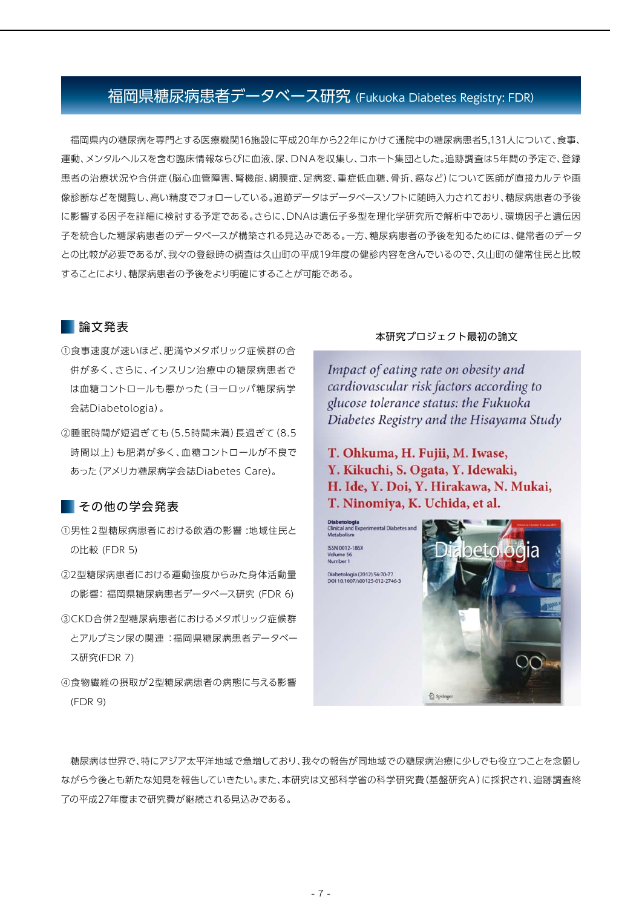### 福岡県糖尿病患者データベース研究 (Fukuoka Diabetes Registry: FDR)

福岡県内の糖尿病を専門とする医療機関16施設に平成20年から22年にかけて通院中の糖尿病患者5,131人について、食事、 運動、メンタルヘルスを含む臨床情報ならびに血液、尿、DNAを収集し、コホート集団とした。追跡調査は5年間の予定で、登録 患者の治療状況や合併症(脳心血管障害、腎機能、網膜症、足病変、重症低血糖、骨折、癌など)について医師が直接カルテや画 像診断などを閲覧し、高い精度でフォローしている。追跡データはデータベースソフトに随時入力されており、糖尿病患者の予後 に影響する因子を詳細に検討する予定である。さらに、DNAは遺伝子多型を理化学研究所で解析中であり、環境因子と遺伝因 子を統合した糖尿病患者のデータベースが構築される見込みである。一方、糖尿病患者の予後を知るためには、健常者のデータ との比較が必要であるが、我々の登録時の調査は久山町の平成19年度の健診内容を含んでいるので、久山町の健常住民と比較 することにより、糖尿病患者の予後をより明確にすることが可能である。

#### 論文発表

- ①食事速度が速いほど、肥満やメタボリック症候群の合 併が多く、さらに、インスリン治療中の糖尿病患者で は血糖コントロールも悪かった(ヨーロッパ糖尿病学 会誌Diabetologia)。
- ②睡眠時間が短過ぎても(5.5時間未満)長過ぎて(8.5 時間以上)も肥満が多く、血糖コントロールが不良で あった(アメリカ糖尿病学会誌Diabetes Care)。

#### ■その他の学会発表

- ①男性2型糖尿病患者における飲酒の影響 :地域住民と の比較 (FDR 5)
- ②2型糖尿病患者における運動強度からみた身体活動量 の影響: 福岡県糖尿病患者データベース研究 (FDR 6)
- ③CKD合併2型糖尿病患者におけるメタボリック症候群 とアルブミン尿の関連 :福岡県糖尿病患者データベー ス研究(FDR 7)
- ④食物繊維の摂取が2型糖尿病患者の病態に与える影響 (FDR 9)

#### 本研究プロジェクト最初の論文

Impact of eating rate on obesity and cardiovascular risk factors according to glucose tolerance status: the Fukuoka Diabetes Registry and the Hisayama Study

T. Ohkuma, H. Fujii, M. Iwase, Y. Kikuchi, S. Ogata, Y. Idewaki, H. Ide, Y. Doi, Y. Hirakawa, N. Mukai, T. Ninomiya, K. Uchida, et al.



糖尿病は世界で、特にアジア太平洋地域で急増しており、我々の報告が同地域での糖尿病治療に少しでも役立つことを念願し ながら今後とも新たな知見を報告していきたい。また、本研究は文部科学省の科学研究費(基盤研究A)に採択され、追跡調査終 了の平成27年度まで研究費が継続される見込みである。